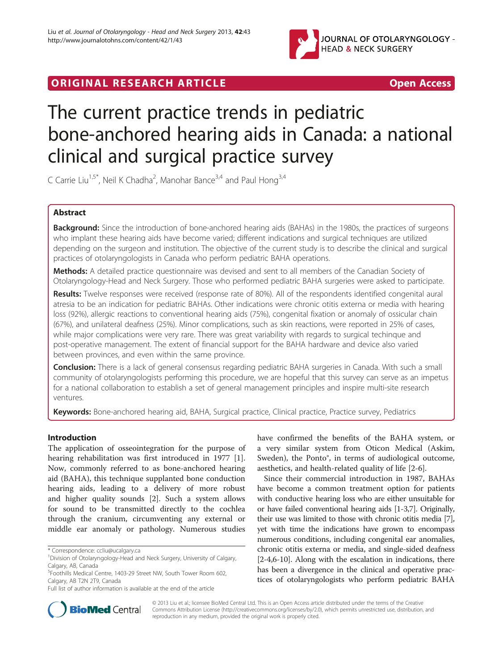

# **ORIGINAL RESEARCH ARTICLE CONSUMING ACCESS**

# The current practice trends in pediatric bone-anchored hearing aids in Canada: a national clinical and surgical practice survey

C Carrie Liu<sup>1,5\*</sup>, Neil K Chadha<sup>2</sup>, Manohar Bance<sup>3,4</sup> and Paul Hong<sup>3,4</sup>

# Abstract

Background: Since the introduction of bone-anchored hearing aids (BAHAs) in the 1980s, the practices of surgeons who implant these hearing aids have become varied; different indications and surgical techniques are utilized depending on the surgeon and institution. The objective of the current study is to describe the clinical and surgical practices of otolaryngologists in Canada who perform pediatric BAHA operations.

Methods: A detailed practice questionnaire was devised and sent to all members of the Canadian Society of Otolaryngology-Head and Neck Surgery. Those who performed pediatric BAHA surgeries were asked to participate.

Results: Twelve responses were received (response rate of 80%). All of the respondents identified congenital aural atresia to be an indication for pediatric BAHAs. Other indications were chronic otitis externa or media with hearing loss (92%), allergic reactions to conventional hearing aids (75%), congenital fixation or anomaly of ossicular chain (67%), and unilateral deafness (25%). Minor complications, such as skin reactions, were reported in 25% of cases, while major complications were very rare. There was great variability with regards to surgical techinque and post-operative management. The extent of financial support for the BAHA hardware and device also varied between provinces, and even within the same province.

Conclusion: There is a lack of general consensus regarding pediatric BAHA surgeries in Canada. With such a small community of otolaryngologists performing this procedure, we are hopeful that this survey can serve as an impetus for a national collaboration to establish a set of general management principles and inspire multi-site research ventures.

Keywords: Bone-anchored hearing aid, BAHA, Surgical practice, Clinical practice, Practice survey, Pediatrics

# Introduction

The application of osseointegration for the purpose of hearing rehabilitation was first introduced in 1977 [\[1](#page-8-0)]. Now, commonly referred to as bone-anchored hearing aid (BAHA), this technique supplanted bone conduction hearing aids, leading to a delivery of more robust and higher quality sounds [[2\]](#page-8-0). Such a system allows for sound to be transmitted directly to the cochlea through the cranium, circumventing any external or middle ear anomaly or pathology. Numerous studies

have confirmed the benefits of the BAHA system, or a very similar system from Oticon Medical (Askim, Sweden), the Ponto<sup>®</sup>, in terms of audiological outcome, aesthetics, and health-related quality of life [[2-6](#page-8-0)].

Since their commercial introduction in 1987, BAHAs have become a common treatment option for patients with conductive hearing loss who are either unsuitable for or have failed conventional hearing aids [\[1-3,7](#page-8-0)]. Originally, their use was limited to those with chronic otitis media [\[7](#page-8-0)], yet with time the indications have grown to encompass numerous conditions, including congenital ear anomalies, chronic otitis externa or media, and single-sided deafness [[2-4,6-10\]](#page-8-0). Along with the escalation in indications, there has been a divergence in the clinical and operative practices of otolaryngologists who perform pediatric BAHA



© 2013 Liu et al.; licensee BioMed Central Ltd. This is an Open Access article distributed under the terms of the Creative Commons Attribution License [\(http://creativecommons.org/licenses/by/2.0\)](http://creativecommons.org/licenses/by/2.0), which permits unrestricted use, distribution, and reproduction in any medium, provided the original work is properly cited.

<sup>\*</sup> Correspondence: [ccliu@ucalgary.ca](mailto:ccliu@ucalgary.ca) <sup>1</sup>

<sup>&</sup>lt;sup>1</sup> Division of Otolaryngology-Head and Neck Surgery, University of Calgary, Calgary, AB, Canada

<sup>5</sup> Foothills Medical Centre, 1403-29 Street NW, South Tower Room 602, Calgary, AB T2N 2T9, Canada

Full list of author information is available at the end of the article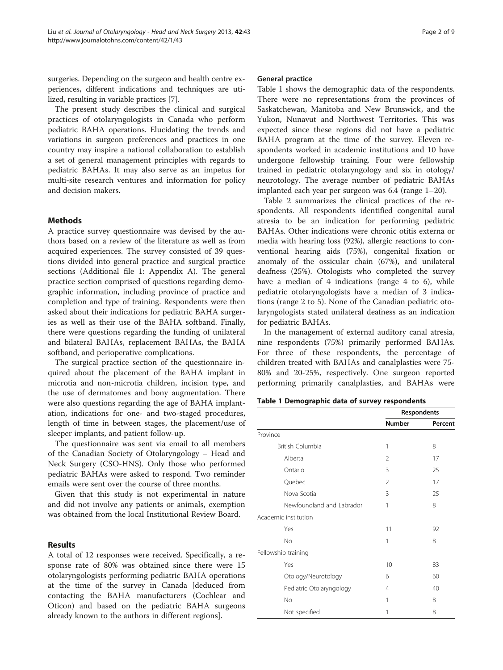surgeries. Depending on the surgeon and health centre experiences, different indications and techniques are utilized, resulting in variable practices [\[7](#page-8-0)].

The present study describes the clinical and surgical practices of otolaryngologists in Canada who perform pediatric BAHA operations. Elucidating the trends and variations in surgeon preferences and practices in one country may inspire a national collaboration to establish a set of general management principles with regards to pediatric BAHAs. It may also serve as an impetus for multi-site research ventures and information for policy and decision makers.

## Methods

A practice survey questionnaire was devised by the authors based on a review of the literature as well as from acquired experiences. The survey consisted of 39 questions divided into general practice and surgical practice sections (Additional file [1](#page-7-0): Appendix A). The general practice section comprised of questions regarding demographic information, including province of practice and completion and type of training. Respondents were then asked about their indications for pediatric BAHA surgeries as well as their use of the BAHA softband. Finally, there were questions regarding the funding of unilateral and bilateral BAHAs, replacement BAHAs, the BAHA softband, and perioperative complications.

The surgical practice section of the questionnaire inquired about the placement of the BAHA implant in microtia and non-microtia children, incision type, and the use of dermatomes and bony augmentation. There were also questions regarding the age of BAHA implantation, indications for one- and two-staged procedures, length of time in between stages, the placement/use of sleeper implants, and patient follow-up.

The questionnaire was sent via email to all members of the Canadian Society of Otolaryngology – Head and Neck Surgery (CSO-HNS). Only those who performed pediatric BAHAs were asked to respond. Two reminder emails were sent over the course of three months.

Given that this study is not experimental in nature and did not involve any patients or animals, exemption was obtained from the local Institutional Review Board.

# Results

A total of 12 responses were received. Specifically, a response rate of 80% was obtained since there were 15 otolaryngologists performing pediatric BAHA operations at the time of the survey in Canada [deduced from contacting the BAHA manufacturers (Cochlear and Oticon) and based on the pediatric BAHA surgeons already known to the authors in different regions].

### General practice

Table 1 shows the demographic data of the respondents. There were no representations from the provinces of Saskatchewan, Manitoba and New Brunswick, and the Yukon, Nunavut and Northwest Territories. This was expected since these regions did not have a pediatric BAHA program at the time of the survey. Eleven respondents worked in academic institutions and 10 have undergone fellowship training. Four were fellowship trained in pediatric otolaryngology and six in otology/ neurotology. The average number of pediatric BAHAs implanted each year per surgeon was 6.4 (range 1–20).

Table [2](#page-2-0) summarizes the clinical practices of the respondents. All respondents identified congenital aural atresia to be an indication for performing pediatric BAHAs. Other indications were chronic otitis externa or media with hearing loss (92%), allergic reactions to conventional hearing aids (75%), congenital fixation or anomaly of the ossicular chain (67%), and unilateral deafness (25%). Otologists who completed the survey have a median of 4 indications (range 4 to 6), while pediatric otolaryngologists have a median of 3 indications (range 2 to 5). None of the Canadian pediatric otolaryngologists stated unilateral deafness as an indication for pediatric BAHAs.

In the management of external auditory canal atresia, nine respondents (75%) primarily performed BAHAs. For three of these respondents, the percentage of children treated with BAHAs and canalplasties were 75- 80% and 20-25%, respectively. One surgeon reported performing primarily canalplasties, and BAHAs were

|  | Table 1 Demographic data of survey respondents |  |  |  |
|--|------------------------------------------------|--|--|--|
|--|------------------------------------------------|--|--|--|

|                           | Respondents   |         |
|---------------------------|---------------|---------|
|                           | <b>Number</b> | Percent |
| Province                  |               |         |
| British Columbia          | 1             | 8       |
| Alberta                   | 2             | 17      |
| Ontario                   | 3             | 25      |
| Quebec                    | 2             | 17      |
| Nova Scotia               | 3             | 25      |
| Newfoundland and Labrador | 1             | 8       |
| Academic institution      |               |         |
| Yes                       | 11            | 92      |
| <b>No</b>                 | 1             | 8       |
| Fellowship training       |               |         |
| Yes                       | 10            | 83      |
| Otology/Neurotology       | 6             | 60      |
| Pediatric Otolaryngology  | 4             | 40      |
| No                        | 1             | 8       |
| Not specified             | 1             | 8       |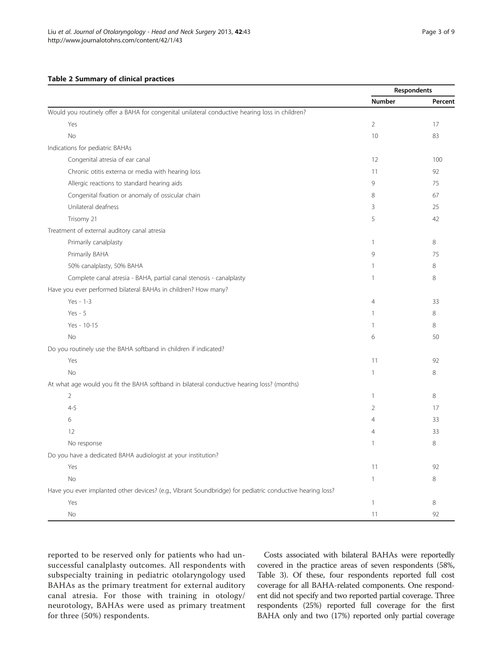## <span id="page-2-0"></span>Table 2 Summary of clinical practices

|                                                                                                           | Respondents    |         |
|-----------------------------------------------------------------------------------------------------------|----------------|---------|
|                                                                                                           | Number         | Percent |
| Would you routinely offer a BAHA for congenital unilateral conductive hearing loss in children?           |                |         |
| Yes                                                                                                       | $\overline{2}$ | 17      |
| No                                                                                                        | 10             | 83      |
| Indications for pediatric BAHAs                                                                           |                |         |
| Congenital atresia of ear canal                                                                           | 12             | 100     |
| Chronic otitis externa or media with hearing loss                                                         | 11             | 92      |
| Allergic reactions to standard hearing aids                                                               | 9              | 75      |
| Congenital fixation or anomaly of ossicular chain                                                         | 8              | 67      |
| Unilateral deafness                                                                                       | $\overline{3}$ | 25      |
| Trisomy 21                                                                                                | 5              | 42      |
| Treatment of external auditory canal atresia                                                              |                |         |
| Primarily canalplasty                                                                                     | $\mathbf{1}$   | 8       |
| Primarily BAHA                                                                                            | 9              | 75      |
| 50% canalplasty, 50% BAHA                                                                                 | $\mathbf{1}$   | 8       |
| Complete canal atresia - BAHA, partial canal stenosis - canalplasty                                       | 1              | 8       |
| Have you ever performed bilateral BAHAs in children? How many?                                            |                |         |
| $Yes - 1-3$                                                                                               | $\overline{4}$ | 33      |
| $Yes - 5$                                                                                                 | $\mathbf{1}$   | 8       |
| Yes - 10-15                                                                                               | $\mathbf{1}$   | 8       |
| <b>No</b>                                                                                                 | 6              | 50      |
| Do you routinely use the BAHA softband in children if indicated?                                          |                |         |
| Yes                                                                                                       | 11             | 92      |
| No                                                                                                        | 1              | 8       |
| At what age would you fit the BAHA softband in bilateral conductive hearing loss? (months)                |                |         |
| $\overline{2}$                                                                                            | $\mathbf{1}$   | 8       |
| $4 - 5$                                                                                                   | $\overline{2}$ | 17      |
| 6                                                                                                         | $\overline{4}$ | 33      |
| 12                                                                                                        | $\overline{4}$ | 33      |
| No response                                                                                               | $\mathbf{1}$   | 8       |
| Do you have a dedicated BAHA audiologist at your institution?                                             |                |         |
| Yes                                                                                                       | 11             | 92      |
| No                                                                                                        | $\mathbf{1}$   | 8       |
| Have you ever implanted other devices? (e.g., Vibrant Soundbridge) for pediatric conductive hearing loss? |                |         |
| Yes                                                                                                       | $\mathbf{1}$   | 8       |
| <b>No</b>                                                                                                 | 11             | 92      |

reported to be reserved only for patients who had unsuccessful canalplasty outcomes. All respondents with subspecialty training in pediatric otolaryngology used BAHAs as the primary treatment for external auditory canal atresia. For those with training in otology/ neurotology, BAHAs were used as primary treatment for three (50%) respondents.

Costs associated with bilateral BAHAs were reportedly covered in the practice areas of seven respondents (58%, Table [3](#page-3-0)). Of these, four respondents reported full cost coverage for all BAHA-related components. One respondent did not specify and two reported partial coverage. Three respondents (25%) reported full coverage for the first BAHA only and two (17%) reported only partial coverage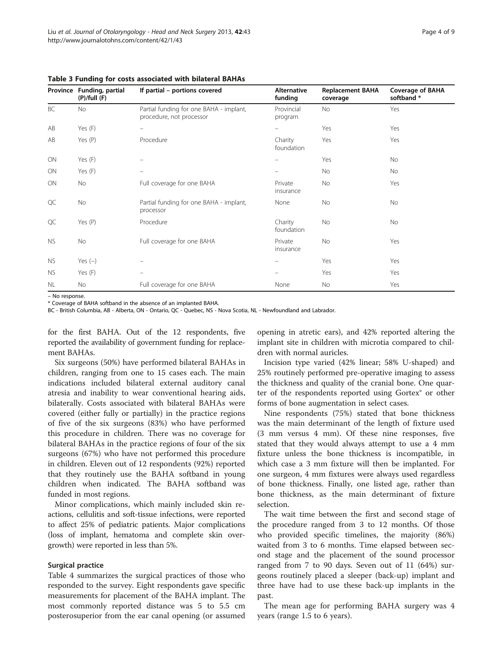| Province  | Funding, partial<br>$(P)/full$ (F) | If partial - portions covered                                       | <b>Alternative</b><br>funding | <b>Replacement BAHA</b><br>coverage | <b>Coverage of BAHA</b><br>softband* |
|-----------|------------------------------------|---------------------------------------------------------------------|-------------------------------|-------------------------------------|--------------------------------------|
| BC        | No                                 | Partial funding for one BAHA - implant,<br>procedure, not processor | Provincial<br>program         | <b>No</b>                           | Yes                                  |
| AB        | Yes (F)                            |                                                                     |                               | Yes                                 | Yes                                  |
| AB        | Yes (P)                            | Procedure                                                           | Charity<br>foundation         | Yes                                 | Yes                                  |
| ON        | Yes (F)                            |                                                                     |                               | Yes                                 | No                                   |
| ON        | Yes (F)                            |                                                                     |                               | <b>No</b>                           | No                                   |
| ON        | <b>No</b>                          | Full coverage for one BAHA                                          | Private<br>insurance          | <b>No</b>                           | Yes                                  |
| QC        | <b>No</b>                          | Partial funding for one BAHA - implant,<br>processor                | None                          | No                                  | No                                   |
| QC        | Yes $(P)$                          | Procedure                                                           | Charity<br>foundation         | <b>No</b>                           | No                                   |
| <b>NS</b> | No                                 | Full coverage for one BAHA                                          | Private<br>insurance          | No                                  | Yes                                  |
| <b>NS</b> | Yes $(-)$                          |                                                                     |                               | Yes                                 | Yes                                  |
| <b>NS</b> | Yes (F)                            | -                                                                   |                               | Yes                                 | Yes                                  |
| NL        | No.                                | Full coverage for one BAHA                                          | None                          | No                                  | Yes                                  |

<span id="page-3-0"></span>Table 3 Funding for costs associated with bilateral BAHAs

– No response.

\* Coverage of BAHA softband in the absence of an implanted BAHA.

BC - British Columbia, AB - Alberta, ON - Ontario, QC - Quebec, NS - Nova Scotia, NL - Newfoundland and Labrador.

for the first BAHA. Out of the 12 respondents, five reported the availability of government funding for replacement BAHAs.

Six surgeons (50%) have performed bilateral BAHAs in children, ranging from one to 15 cases each. The main indications included bilateral external auditory canal atresia and inability to wear conventional hearing aids, bilaterally. Costs associated with bilateral BAHAs were covered (either fully or partially) in the practice regions of five of the six surgeons (83%) who have performed this procedure in children. There was no coverage for bilateral BAHAs in the practice regions of four of the six surgeons (67%) who have not performed this procedure in children. Eleven out of 12 respondents (92%) reported that they routinely use the BAHA softband in young children when indicated. The BAHA softband was funded in most regions.

Minor complications, which mainly included skin reactions, cellulitis and soft-tissue infections, were reported to affect 25% of pediatric patients. Major complications (loss of implant, hematoma and complete skin overgrowth) were reported in less than 5%.

## Surgical practice

Table [4](#page-4-0) summarizes the surgical practices of those who responded to the survey. Eight respondents gave specific measurements for placement of the BAHA implant. The most commonly reported distance was 5 to 5.5 cm posterosuperior from the ear canal opening (or assumed opening in atretic ears), and 42% reported altering the implant site in children with microtia compared to children with normal auricles.

Incision type varied (42% linear; 58% U-shaped) and 25% routinely performed pre-operative imaging to assess the thickness and quality of the cranial bone. One quarter of the respondents reported using Gortex® or other forms of bone augmentation in select cases.

Nine respondents (75%) stated that bone thickness was the main determinant of the length of fixture used (3 mm versus 4 mm). Of these nine responses, five stated that they would always attempt to use a 4 mm fixture unless the bone thickness is incompatible, in which case a 3 mm fixture will then be implanted. For one surgeon, 4 mm fixtures were always used regardless of bone thickness. Finally, one listed age, rather than bone thickness, as the main determinant of fixture selection.

The wait time between the first and second stage of the procedure ranged from 3 to 12 months. Of those who provided specific timelines, the majority (86%) waited from 3 to 6 months. Time elapsed between second stage and the placement of the sound processor ranged from 7 to 90 days. Seven out of 11 (64%) surgeons routinely placed a sleeper (back-up) implant and three have had to use these back-up implants in the past.

The mean age for performing BAHA surgery was 4 years (range 1.5 to 6 years).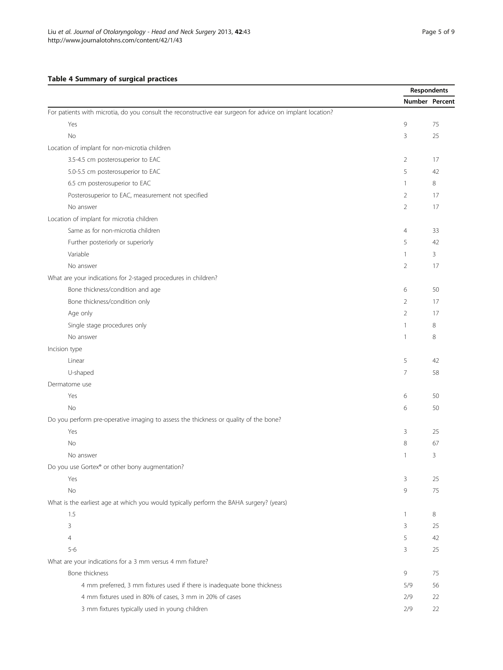# <span id="page-4-0"></span>Table 4 Summary of surgical practices

|                                                                                                           |                | Respondents |
|-----------------------------------------------------------------------------------------------------------|----------------|-------------|
|                                                                                                           | Number Percent |             |
| For patients with microtia, do you consult the reconstructive ear surgeon for advice on implant location? |                |             |
| Yes                                                                                                       | 9              | 75          |
| No                                                                                                        | 3              | 25          |
| Location of implant for non-microtia children                                                             |                |             |
| 3.5-4.5 cm posterosuperior to EAC                                                                         | $\overline{2}$ | 17          |
| 5.0-5.5 cm posterosuperior to EAC                                                                         | 5              | 42          |
| 6.5 cm posterosuperior to EAC                                                                             | $\mathbf{1}$   | 8           |
| Posterosuperior to EAC, measurement not specified                                                         | 2              | 17          |
| No answer                                                                                                 | $\overline{2}$ | 17          |
| Location of implant for microtia children                                                                 |                |             |
| Same as for non-microtia children                                                                         | $\overline{4}$ | 33          |
| Further posteriorly or superiorly                                                                         | 5              | 42          |
| Variable                                                                                                  | $\mathbf{1}$   | 3           |
| No answer                                                                                                 | 2              | 17          |
| What are your indications for 2-staged procedures in children?                                            |                |             |
| Bone thickness/condition and age                                                                          | 6              | 50          |
| Bone thickness/condition only                                                                             | 2              | 17          |
| Age only                                                                                                  | $\overline{2}$ | 17          |
| Single stage procedures only                                                                              | $\overline{1}$ | 8           |
| No answer                                                                                                 | 1              | 8           |
| Incision type                                                                                             |                |             |
| Linear                                                                                                    | 5              | 42          |
| U-shaped                                                                                                  | 7              | 58          |
| Dermatome use                                                                                             |                |             |
| Yes                                                                                                       | 6              | 50          |
| No                                                                                                        | 6              | 50          |
| Do you perform pre-operative imaging to assess the thickness or quality of the bone?                      |                |             |
| Yes                                                                                                       | 3              | 25          |
| <b>No</b>                                                                                                 | 8              | 67          |
| No answer                                                                                                 | $\mathbf{1}$   | 3           |
| Do you use Gortex® or other bony augmentation?                                                            |                |             |
| Yes                                                                                                       | 3              | 25          |
| No                                                                                                        | 9              | 75          |
| What is the earliest age at which you would typically perform the BAHA surgery? (years)                   |                |             |
| 1.5                                                                                                       | $\mathbf{1}$   | 8           |
| 3                                                                                                         | 3              | 25          |
| $\overline{4}$                                                                                            | 5              | 42          |
| $5 - 6$                                                                                                   | 3              | 25          |
| What are your indications for a 3 mm versus 4 mm fixture?                                                 |                |             |
| Bone thickness                                                                                            | 9              | 75          |
| 4 mm preferred, 3 mm fixtures used if there is inadequate bone thickness                                  | 5/9            | 56          |
| 4 mm fixtures used in 80% of cases, 3 mm in 20% of cases                                                  | 2/9            | 22          |
| 3 mm fixtures typically used in young children                                                            | 2/9            | 22          |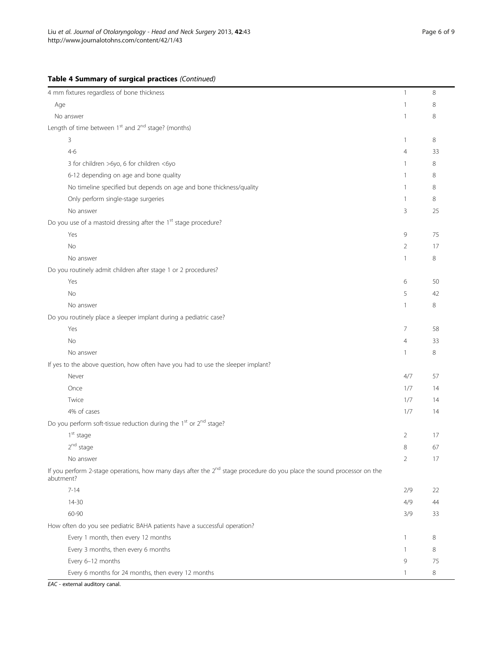# Table 4 Summary of surgical practices (Continued)

| 4 mm fixtures regardless of bone thickness                                                                                                      | $\mathbf{1}$   | 8  |
|-------------------------------------------------------------------------------------------------------------------------------------------------|----------------|----|
| Age                                                                                                                                             | 1              | 8  |
| No answer                                                                                                                                       | 1              | 8  |
| Length of time between 1 <sup>st</sup> and 2 <sup>nd</sup> stage? (months)                                                                      |                |    |
| 3                                                                                                                                               | $\mathbf{1}$   | 8  |
| $4 - 6$                                                                                                                                         | $\overline{4}$ | 33 |
| 3 for children >6yo, 6 for children <6yo                                                                                                        | 1              | 8  |
| 6-12 depending on age and bone quality                                                                                                          | 1              | 8  |
| No timeline specified but depends on age and bone thickness/quality                                                                             | 1              | 8  |
| Only perform single-stage surgeries                                                                                                             | $\mathbf{1}$   | 8  |
| No answer                                                                                                                                       | 3              | 25 |
| Do you use of a mastoid dressing after the 1 <sup>st</sup> stage procedure?                                                                     |                |    |
| Yes                                                                                                                                             | 9              | 75 |
| No                                                                                                                                              | $\overline{2}$ | 17 |
| No answer                                                                                                                                       | $\mathbf{1}$   | 8  |
| Do you routinely admit children after stage 1 or 2 procedures?                                                                                  |                |    |
| Yes                                                                                                                                             | 6              | 50 |
| No                                                                                                                                              | 5              | 42 |
| No answer                                                                                                                                       | 1              | 8  |
| Do you routinely place a sleeper implant during a pediatric case?                                                                               |                |    |
| Yes                                                                                                                                             | 7              | 58 |
| No                                                                                                                                              | 4              | 33 |
| No answer                                                                                                                                       | 1              | 8  |
| If yes to the above question, how often have you had to use the sleeper implant?                                                                |                |    |
| Never                                                                                                                                           | 4/7            | 57 |
| Once                                                                                                                                            | 1/7            | 14 |
| Twice                                                                                                                                           | 1/7            | 14 |
| 4% of cases                                                                                                                                     | 1/7            | 14 |
| Do you perform soft-tissue reduction during the 1 <sup>st</sup> or 2 <sup>nd</sup> stage?                                                       |                |    |
| $1st$ stage                                                                                                                                     | 2              | 17 |
| 2 <sup>nd</sup> stage                                                                                                                           | 8              | 67 |
| No answer                                                                                                                                       | $\overline{2}$ | 17 |
| If you perform 2-stage operations, how many days after the 2 <sup>nd</sup> stage procedure do you place the sound processor on the<br>abutment? |                |    |
| $7 - 14$                                                                                                                                        | 2/9            | 22 |
| $14 - 30$                                                                                                                                       | 4/9            | 44 |
| 60-90                                                                                                                                           | 3/9            | 33 |
| How often do you see pediatric BAHA patients have a successful operation?                                                                       |                |    |
| Every 1 month, then every 12 months                                                                                                             | $\mathbf{1}$   | 8  |
| Every 3 months, then every 6 months                                                                                                             | 1              | 8  |
| Every 6-12 months                                                                                                                               | 9              | 75 |
| Every 6 months for 24 months, then every 12 months                                                                                              | 1              | 8  |

EAC - external auditory canal.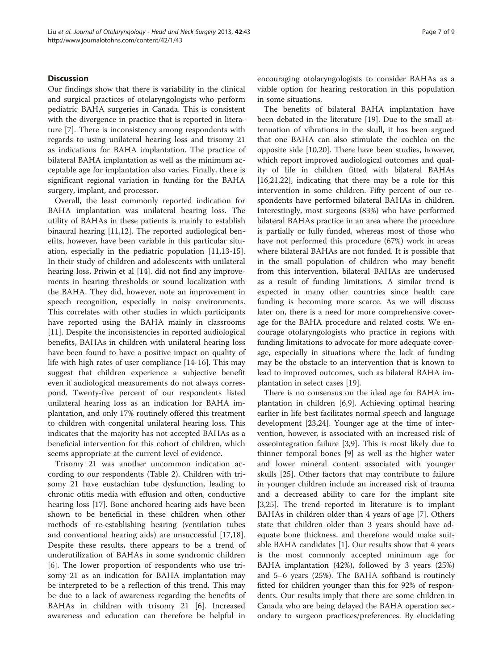# **Discussion**

Our findings show that there is variability in the clinical and surgical practices of otolaryngologists who perform pediatric BAHA surgeries in Canada. This is consistent with the divergence in practice that is reported in literature [[7\]](#page-8-0). There is inconsistency among respondents with regards to using unilateral hearing loss and trisomy 21 as indications for BAHA implantation. The practice of bilateral BAHA implantation as well as the minimum acceptable age for implantation also varies. Finally, there is significant regional variation in funding for the BAHA surgery, implant, and processor.

Overall, the least commonly reported indication for BAHA implantation was unilateral hearing loss. The utility of BAHAs in these patients is mainly to establish binaural hearing [[11,12\]](#page-8-0). The reported audiological benefits, however, have been variable in this particular situation, especially in the pediatric population [\[11,13-15](#page-8-0)]. In their study of children and adolescents with unilateral hearing loss, Priwin et al [\[14\]](#page-8-0). did not find any improvements in hearing thresholds or sound localization with the BAHA. They did, however, note an improvement in speech recognition, especially in noisy environments. This correlates with other studies in which participants have reported using the BAHA mainly in classrooms [[11\]](#page-8-0). Despite the inconsistencies in reported audiological benefits, BAHAs in children with unilateral hearing loss have been found to have a positive impact on quality of life with high rates of user compliance [[14-16\]](#page-8-0). This may suggest that children experience a subjective benefit even if audiological measurements do not always correspond. Twenty-five percent of our respondents listed unilateral hearing loss as an indication for BAHA implantation, and only 17% routinely offered this treatment to children with congenital unilateral hearing loss. This indicates that the majority has not accepted BAHAs as a beneficial intervention for this cohort of children, which seems appropriate at the current level of evidence.

Trisomy 21 was another uncommon indication according to our respondents (Table [2\)](#page-2-0). Children with trisomy 21 have eustachian tube dysfunction, leading to chronic otitis media with effusion and often, conductive hearing loss [\[17](#page-8-0)]. Bone anchored hearing aids have been shown to be beneficial in these children when other methods of re-establishing hearing (ventilation tubes and conventional hearing aids) are unsuccessful [\[17,18](#page-8-0)]. Despite these results, there appears to be a trend of underutilization of BAHAs in some syndromic children [[6\]](#page-8-0). The lower proportion of respondents who use trisomy 21 as an indication for BAHA implantation may be interpreted to be a reflection of this trend. This may be due to a lack of awareness regarding the benefits of BAHAs in children with trisomy 21 [\[6](#page-8-0)]. Increased awareness and education can therefore be helpful in encouraging otolaryngologists to consider BAHAs as a viable option for hearing restoration in this population in some situations.

The benefits of bilateral BAHA implantation have been debated in the literature [\[19](#page-8-0)]. Due to the small attenuation of vibrations in the skull, it has been argued that one BAHA can also stimulate the cochlea on the opposite side [\[10,20](#page-8-0)]. There have been studies, however, which report improved audiological outcomes and quality of life in children fitted with bilateral BAHAs [[16,21,22\]](#page-8-0), indicating that there may be a role for this intervention in some children. Fifty percent of our respondents have performed bilateral BAHAs in children. Interestingly, most surgeons (83%) who have performed bilateral BAHAs practice in an area where the procedure is partially or fully funded, whereas most of those who have not performed this procedure (67%) work in areas where bilateral BAHAs are not funded. It is possible that in the small population of children who may benefit from this intervention, bilateral BAHAs are underused as a result of funding limitations. A similar trend is expected in many other countries since health care funding is becoming more scarce. As we will discuss later on, there is a need for more comprehensive coverage for the BAHA procedure and related costs. We encourage otolaryngologists who practice in regions with funding limitations to advocate for more adequate coverage, especially in situations where the lack of funding may be the obstacle to an intervention that is known to lead to improved outcomes, such as bilateral BAHA implantation in select cases [[19\]](#page-8-0).

There is no consensus on the ideal age for BAHA implantation in children [[6,9\]](#page-8-0). Achieving optimal hearing earlier in life best facilitates normal speech and language development [[23,24](#page-8-0)]. Younger age at the time of intervention, however, is associated with an increased risk of osseointegration failure [\[3,9](#page-8-0)]. This is most likely due to thinner temporal bones [\[9\]](#page-8-0) as well as the higher water and lower mineral content associated with younger skulls [[25\]](#page-8-0). Other factors that may contribute to failure in younger children include an increased risk of trauma and a decreased ability to care for the implant site [[3,25\]](#page-8-0). The trend reported in literature is to implant BAHAs in children older than 4 years of age [\[7\]](#page-8-0). Others state that children older than 3 years should have adequate bone thickness, and therefore would make suitable BAHA candidates [[1\]](#page-8-0). Our results show that 4 years is the most commonly accepted minimum age for BAHA implantation (42%), followed by 3 years (25%) and 5–6 years (25%). The BAHA softband is routinely fitted for children younger than this for 92% of respondents. Our results imply that there are some children in Canada who are being delayed the BAHA operation secondary to surgeon practices/preferences. By elucidating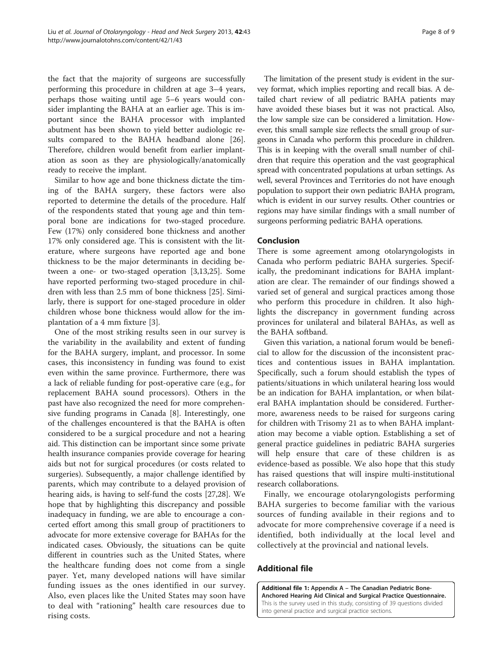<span id="page-7-0"></span>the fact that the majority of surgeons are successfully performing this procedure in children at age 3–4 years, perhaps those waiting until age 5–6 years would consider implanting the BAHA at an earlier age. This is important since the BAHA processor with implanted abutment has been shown to yield better audiologic results compared to the BAHA headband alone [\[26](#page-8-0)]. Therefore, children would benefit from earlier implantation as soon as they are physiologically/anatomically ready to receive the implant.

Similar to how age and bone thickness dictate the timing of the BAHA surgery, these factors were also reported to determine the details of the procedure. Half of the respondents stated that young age and thin temporal bone are indications for two-staged procedure. Few (17%) only considered bone thickness and another 17% only considered age. This is consistent with the literature, where surgeons have reported age and bone thickness to be the major determinants in deciding between a one- or two-staged operation [[3,13,25\]](#page-8-0). Some have reported performing two-staged procedure in children with less than 2.5 mm of bone thickness [[25](#page-8-0)]. Similarly, there is support for one-staged procedure in older children whose bone thickness would allow for the implantation of a 4 mm fixture [\[3](#page-8-0)].

One of the most striking results seen in our survey is the variability in the availability and extent of funding for the BAHA surgery, implant, and processor. In some cases, this inconsistency in funding was found to exist even within the same province. Furthermore, there was a lack of reliable funding for post-operative care (e.g., for replacement BAHA sound processors). Others in the past have also recognized the need for more comprehensive funding programs in Canada [\[8](#page-8-0)]. Interestingly, one of the challenges encountered is that the BAHA is often considered to be a surgical procedure and not a hearing aid. This distinction can be important since some private health insurance companies provide coverage for hearing aids but not for surgical procedures (or costs related to surgeries). Subsequently, a major challenge identified by parents, which may contribute to a delayed provision of hearing aids, is having to self-fund the costs [[27,28\]](#page-8-0). We hope that by highlighting this discrepancy and possible inadequacy in funding, we are able to encourage a concerted effort among this small group of practitioners to advocate for more extensive coverage for BAHAs for the indicated cases. Obviously, the situations can be quite different in countries such as the United States, where the healthcare funding does not come from a single payer. Yet, many developed nations will have similar funding issues as the ones identified in our survey. Also, even places like the United States may soon have to deal with "rationing" health care resources due to rising costs.

The limitation of the present study is evident in the survey format, which implies reporting and recall bias. A detailed chart review of all pediatric BAHA patients may have avoided these biases but it was not practical. Also, the low sample size can be considered a limitation. However, this small sample size reflects the small group of surgeons in Canada who perform this procedure in children. This is in keeping with the overall small number of children that require this operation and the vast geographical spread with concentrated populations at urban settings. As well, several Provinces and Territories do not have enough population to support their own pediatric BAHA program, which is evident in our survey results. Other countries or regions may have similar findings with a small number of surgeons performing pediatric BAHA operations.

# Conclusion

There is some agreement among otolaryngologists in Canada who perform pediatric BAHA surgeries. Specifically, the predominant indications for BAHA implantation are clear. The remainder of our findings showed a varied set of general and surgical practices among those who perform this procedure in children. It also highlights the discrepancy in government funding across provinces for unilateral and bilateral BAHAs, as well as the BAHA softband.

Given this variation, a national forum would be beneficial to allow for the discussion of the inconsistent practices and contentious issues in BAHA implantation. Specifically, such a forum should establish the types of patients/situations in which unilateral hearing loss would be an indication for BAHA implantation, or when bilateral BAHA implantation should be considered. Furthermore, awareness needs to be raised for surgeons caring for children with Trisomy 21 as to when BAHA implantation may become a viable option. Establishing a set of general practice guidelines in pediatric BAHA surgeries will help ensure that care of these children is as evidence-based as possible. We also hope that this study has raised questions that will inspire multi-institutional research collaborations.

Finally, we encourage otolaryngologists performing BAHA surgeries to become familiar with the various sources of funding available in their regions and to advocate for more comprehensive coverage if a need is identified, both individually at the local level and collectively at the provincial and national levels.

# Additional file

[Additional file 1:](http://www.biomedcentral.com/content/supplementary/1916-0216-42-43-S1.pdf) Appendix A – The Canadian Pediatric Bone-Anchored Hearing Aid Clinical and Surgical Practice Questionnaire. This is the survey used in this study, consisting of 39 questions divided into general practice and surgical practice sections.